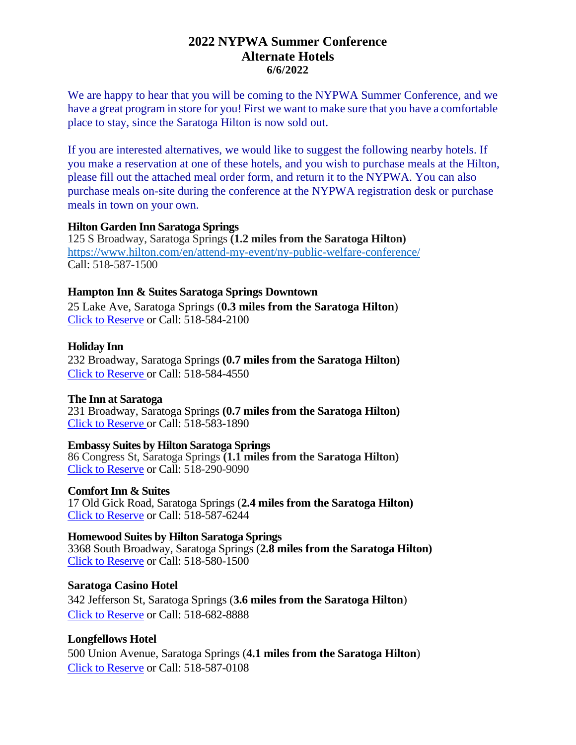## **2022 NYPWA Summer Conference Alternate Hotels 6/6/2022**

We are happy to hear that you will be coming to the NYPWA Summer Conference, and we have a great program in store for you! First we want to make sure that you have a comfortable place to stay, since the Saratoga Hilton is now sold out.

If you are interested alternatives, we would like to suggest the following nearby hotels. If you make a reservation at one of these hotels, and you wish to purchase meals at the Hilton, please fill out the attached meal order form, and return it to the NYPWA. You can also purchase meals on-site during the conference at the NYPWA registration desk or purchase meals in town on your own.

#### **Hilton Garden Inn Saratoga Springs**

125 S Broadway, Saratoga Springs **(1.2 miles from the Saratoga Hilton)** https://www.hilton.com/en/attend-my-event/ny-public-welfare-conference/ Call: 518-587-1500

### **Hampton Inn & Suites Saratoga Springs Downtown**

25 Lake Ave, Saratoga Springs (**0.3 miles from the Saratoga Hilton**) Click to Reserve or Call: 518-584-2100

### **Holiday Inn**

232 Broadway, Saratoga Springs **(0.7 miles from the Saratoga Hilton)** Click to Reserve or Call: 518-584-4550

## **The Inn at Saratoga**

231 Broadway, Saratoga Springs **(0.7 miles from the Saratoga Hilton)** Click to Reserve or Call: 518-583-1890

#### **Embassy Suites by Hilton Saratoga Springs**

86 Congress St, Saratoga Springs **(1.1 miles from the Saratoga Hilton)** Click to Reserve or Call: 518-290-9090

#### **Comfort Inn & Suites**

17 Old Gick Road, Saratoga Springs (**2.4 miles from the Saratoga Hilton)** Click to Reserve or Call: 518-587-6244

#### **Homewood Suites by Hilton Saratoga Springs**

3368 South Broadway, Saratoga Springs (**2.8 miles from the Saratoga Hilton)** Click to Reserve or Call: 518-580-1500

## **Saratoga Casino Hotel**

342 Jefferson St, Saratoga Springs (**3.6 miles from the Saratoga Hilton**) Click to Reserve or Call: 518-682-8888

## **Longfellows Hotel**

500 Union Avenue, Saratoga Springs (**4.1 miles from the Saratoga Hilton**) Click to Reserve or Call: 518-587-0108